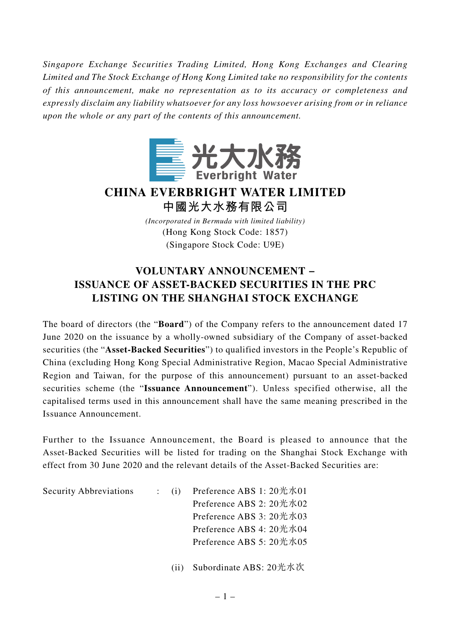*Singapore Exchange Securities Trading Limited, Hong Kong Exchanges and Clearing Limited and The Stock Exchange of Hong Kong Limited take no responsibility for the contents of this announcement, make no representation as to its accuracy or completeness and expressly disclaim any liability whatsoever for any loss howsoever arising from or in reliance upon the whole or any part of the contents of this announcement.*



## **CHINA EVERBRIGHT WATER LIMITED**

**中國光大水務有限公司**

*(Incorporated in Bermuda with limited liability)* (Hong Kong Stock Code: 1857) (Singapore Stock Code: U9E)

## **VOLUNTARY ANNOUNCEMENT − ISSUANCE OF ASSET-BACKED SECURITIES IN THE PRC LISTING ON THE SHANGHAI STOCK EXCHANGE**

The board of directors (the "**Board**") of the Company refers to the announcement dated 17 June 2020 on the issuance by a wholly-owned subsidiary of the Company of asset-backed securities (the "**Asset-Backed Securities**") to qualified investors in the People's Republic of China (excluding Hong Kong Special Administrative Region, Macao Special Administrative Region and Taiwan, for the purpose of this announcement) pursuant to an asset-backed securities scheme (the "**Issuance Announcement**"). Unless specified otherwise, all the capitalised terms used in this announcement shall have the same meaning prescribed in the Issuance Announcement.

Further to the Issuance Announcement, the Board is pleased to announce that the Asset-Backed Securities will be listed for trading on the Shanghai Stock Exchange with effect from 30 June 2020 and the relevant details of the Asset-Backed Securities are:

Security Abbreviations : (i) Preference ABS 1: 20光水01 Preference ABS 2: 20光水02 Preference ABS 3: 20光水03 Preference ABS 4: 20光水04 Preference ABS 5: 20光水05

(ii) Subordinate ABS: 20光水次